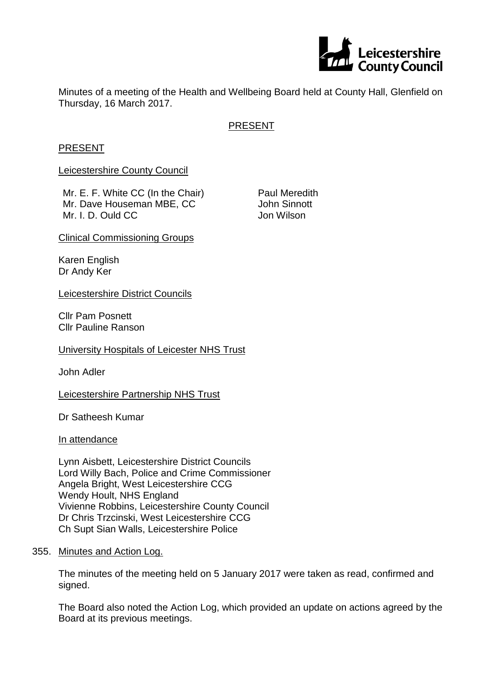

Minutes of a meeting of the Health and Wellbeing Board held at County Hall, Glenfield on Thursday, 16 March 2017.

# PRESENT

#### PRESENT

Leicestershire County Council

Mr. E. F. White CC (In the Chair) Mr. Dave Houseman MBE, CC Mr. I. D. Ould CC

Paul Meredith John Sinnott Jon Wilson

Clinical Commissioning Groups

Karen English Dr Andy Ker

Leicestershire District Councils

Cllr Pam Posnett Cllr Pauline Ranson

University Hospitals of Leicester NHS Trust

John Adler

Leicestershire Partnership NHS Trust

Dr Satheesh Kumar

In attendance

Lynn Aisbett, Leicestershire District Councils Lord Willy Bach, Police and Crime Commissioner Angela Bright, West Leicestershire CCG Wendy Hoult, NHS England Vivienne Robbins, Leicestershire County Council Dr Chris Trzcinski, West Leicestershire CCG Ch Supt Sian Walls, Leicestershire Police

355. Minutes and Action Log.

The minutes of the meeting held on 5 January 2017 were taken as read, confirmed and signed.

The Board also noted the Action Log, which provided an update on actions agreed by the Board at its previous meetings.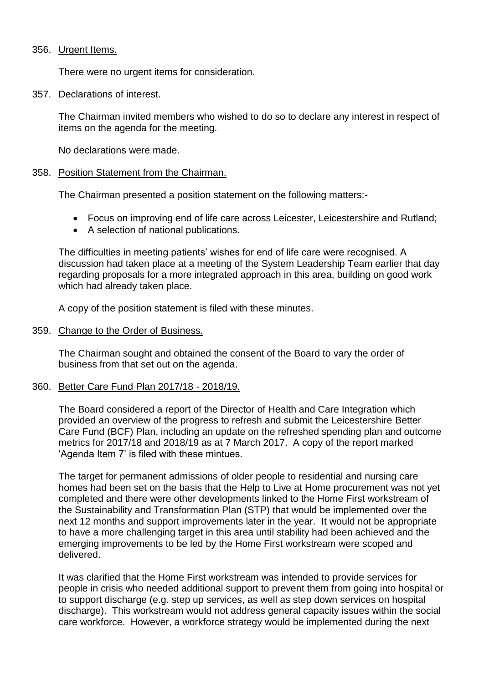#### 356. Urgent Items.

There were no urgent items for consideration.

#### 357. Declarations of interest.

The Chairman invited members who wished to do so to declare any interest in respect of items on the agenda for the meeting.

No declarations were made.

#### 358. Position Statement from the Chairman.

The Chairman presented a position statement on the following matters:-

- Focus on improving end of life care across Leicester, Leicestershire and Rutland;
- A selection of national publications.

The difficulties in meeting patients' wishes for end of life care were recognised. A discussion had taken place at a meeting of the System Leadership Team earlier that day regarding proposals for a more integrated approach in this area, building on good work which had already taken place.

A copy of the position statement is filed with these minutes.

#### 359. Change to the Order of Business.

The Chairman sought and obtained the consent of the Board to vary the order of business from that set out on the agenda.

## 360. Better Care Fund Plan 2017/18 - 2018/19.

The Board considered a report of the Director of Health and Care Integration which provided an overview of the progress to refresh and submit the Leicestershire Better Care Fund (BCF) Plan, including an update on the refreshed spending plan and outcome metrics for 2017/18 and 2018/19 as at 7 March 2017. A copy of the report marked 'Agenda Item 7' is filed with these mintues.

The target for permanent admissions of older people to residential and nursing care homes had been set on the basis that the Help to Live at Home procurement was not yet completed and there were other developments linked to the Home First workstream of the Sustainability and Transformation Plan (STP) that would be implemented over the next 12 months and support improvements later in the year. It would not be appropriate to have a more challenging target in this area until stability had been achieved and the emerging improvements to be led by the Home First workstream were scoped and delivered.

It was clarified that the Home First workstream was intended to provide services for people in crisis who needed additional support to prevent them from going into hospital or to support discharge (e.g. step up services, as well as step down services on hospital discharge). This workstream would not address general capacity issues within the social care workforce. However, a workforce strategy would be implemented during the next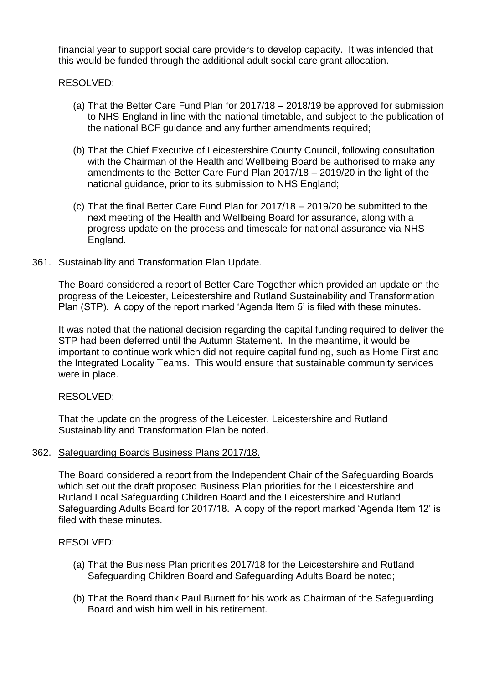financial year to support social care providers to develop capacity. It was intended that this would be funded through the additional adult social care grant allocation.

# RESOLVED:

- (a) That the Better Care Fund Plan for 2017/18 2018/19 be approved for submission to NHS England in line with the national timetable, and subject to the publication of the national BCF guidance and any further amendments required;
- (b) That the Chief Executive of Leicestershire County Council, following consultation with the Chairman of the Health and Wellbeing Board be authorised to make any amendments to the Better Care Fund Plan 2017/18 – 2019/20 in the light of the national guidance, prior to its submission to NHS England;
- (c) That the final Better Care Fund Plan for 2017/18 2019/20 be submitted to the next meeting of the Health and Wellbeing Board for assurance, along with a progress update on the process and timescale for national assurance via NHS England.

## 361. Sustainability and Transformation Plan Update.

The Board considered a report of Better Care Together which provided an update on the progress of the Leicester, Leicestershire and Rutland Sustainability and Transformation Plan (STP). A copy of the report marked 'Agenda Item 5' is filed with these minutes.

It was noted that the national decision regarding the capital funding required to deliver the STP had been deferred until the Autumn Statement. In the meantime, it would be important to continue work which did not require capital funding, such as Home First and the Integrated Locality Teams. This would ensure that sustainable community services were in place.

## RESOLVED:

That the update on the progress of the Leicester, Leicestershire and Rutland Sustainability and Transformation Plan be noted.

## 362. Safeguarding Boards Business Plans 2017/18.

The Board considered a report from the Independent Chair of the Safeguarding Boards which set out the draft proposed Business Plan priorities for the Leicestershire and Rutland Local Safeguarding Children Board and the Leicestershire and Rutland Safeguarding Adults Board for 2017/18. A copy of the report marked 'Agenda Item 12' is filed with these minutes.

# RESOLVED:

- (a) That the Business Plan priorities 2017/18 for the Leicestershire and Rutland Safeguarding Children Board and Safeguarding Adults Board be noted;
- (b) That the Board thank Paul Burnett for his work as Chairman of the Safeguarding Board and wish him well in his retirement.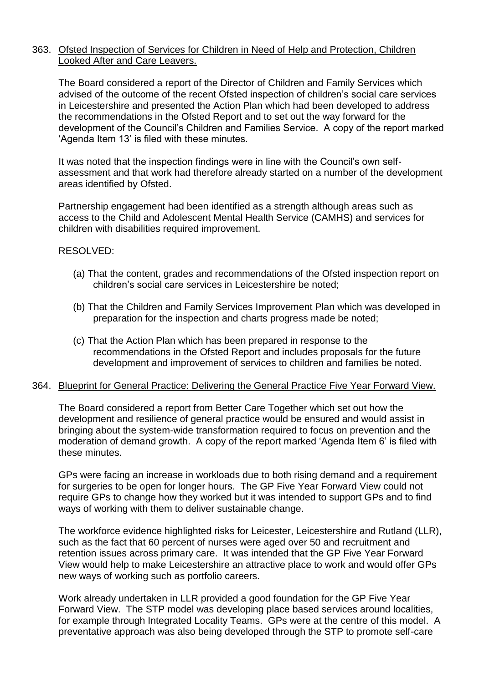## 363. Ofsted Inspection of Services for Children in Need of Help and Protection, Children Looked After and Care Leavers.

The Board considered a report of the Director of Children and Family Services which advised of the outcome of the recent Ofsted inspection of children's social care services in Leicestershire and presented the Action Plan which had been developed to address the recommendations in the Ofsted Report and to set out the way forward for the development of the Council's Children and Families Service. A copy of the report marked 'Agenda Item 13' is filed with these minutes.

It was noted that the inspection findings were in line with the Council's own selfassessment and that work had therefore already started on a number of the development areas identified by Ofsted.

Partnership engagement had been identified as a strength although areas such as access to the Child and Adolescent Mental Health Service (CAMHS) and services for children with disabilities required improvement.

## RESOLVED:

- (a) That the content, grades and recommendations of the Ofsted inspection report on children's social care services in Leicestershire be noted;
- (b) That the Children and Family Services Improvement Plan which was developed in preparation for the inspection and charts progress made be noted;
- (c) That the Action Plan which has been prepared in response to the recommendations in the Ofsted Report and includes proposals for the future development and improvement of services to children and families be noted.

## 364. Blueprint for General Practice: Delivering the General Practice Five Year Forward View.

The Board considered a report from Better Care Together which set out how the development and resilience of general practice would be ensured and would assist in bringing about the system-wide transformation required to focus on prevention and the moderation of demand growth. A copy of the report marked 'Agenda Item 6' is filed with these minutes.

GPs were facing an increase in workloads due to both rising demand and a requirement for surgeries to be open for longer hours. The GP Five Year Forward View could not require GPs to change how they worked but it was intended to support GPs and to find ways of working with them to deliver sustainable change.

The workforce evidence highlighted risks for Leicester, Leicestershire and Rutland (LLR), such as the fact that 60 percent of nurses were aged over 50 and recruitment and retention issues across primary care. It was intended that the GP Five Year Forward View would help to make Leicestershire an attractive place to work and would offer GPs new ways of working such as portfolio careers.

Work already undertaken in LLR provided a good foundation for the GP Five Year Forward View. The STP model was developing place based services around localities, for example through Integrated Locality Teams. GPs were at the centre of this model. A preventative approach was also being developed through the STP to promote self-care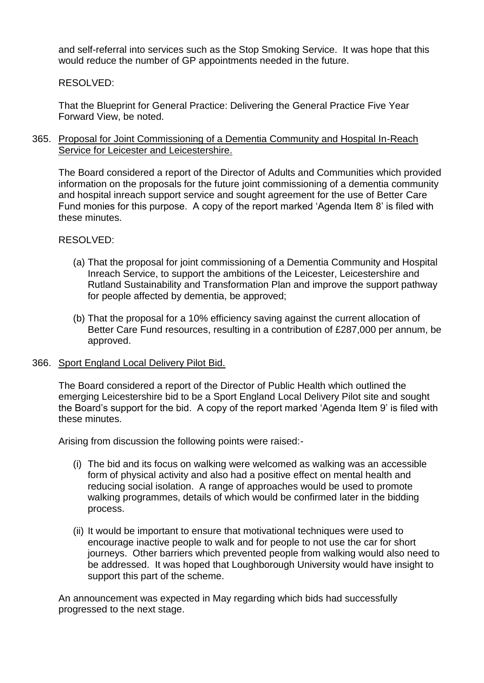and self-referral into services such as the Stop Smoking Service. It was hope that this would reduce the number of GP appointments needed in the future.

RESOLVED:

That the Blueprint for General Practice: Delivering the General Practice Five Year Forward View, be noted.

365. Proposal for Joint Commissioning of a Dementia Community and Hospital In-Reach Service for Leicester and Leicestershire.

The Board considered a report of the Director of Adults and Communities which provided information on the proposals for the future joint commissioning of a dementia community and hospital inreach support service and sought agreement for the use of Better Care Fund monies for this purpose. A copy of the report marked 'Agenda Item 8' is filed with these minutes.

RESOLVED:

- (a) That the proposal for joint commissioning of a Dementia Community and Hospital Inreach Service, to support the ambitions of the Leicester, Leicestershire and Rutland Sustainability and Transformation Plan and improve the support pathway for people affected by dementia, be approved;
- (b) That the proposal for a 10% efficiency saving against the current allocation of Better Care Fund resources, resulting in a contribution of £287,000 per annum, be approved.
- 366. Sport England Local Delivery Pilot Bid.

The Board considered a report of the Director of Public Health which outlined the emerging Leicestershire bid to be a Sport England Local Delivery Pilot site and sought the Board's support for the bid. A copy of the report marked 'Agenda Item 9' is filed with these minutes.

Arising from discussion the following points were raised:-

- (i) The bid and its focus on walking were welcomed as walking was an accessible form of physical activity and also had a positive effect on mental health and reducing social isolation. A range of approaches would be used to promote walking programmes, details of which would be confirmed later in the bidding process.
- (ii) It would be important to ensure that motivational techniques were used to encourage inactive people to walk and for people to not use the car for short journeys. Other barriers which prevented people from walking would also need to be addressed. It was hoped that Loughborough University would have insight to support this part of the scheme.

An announcement was expected in May regarding which bids had successfully progressed to the next stage.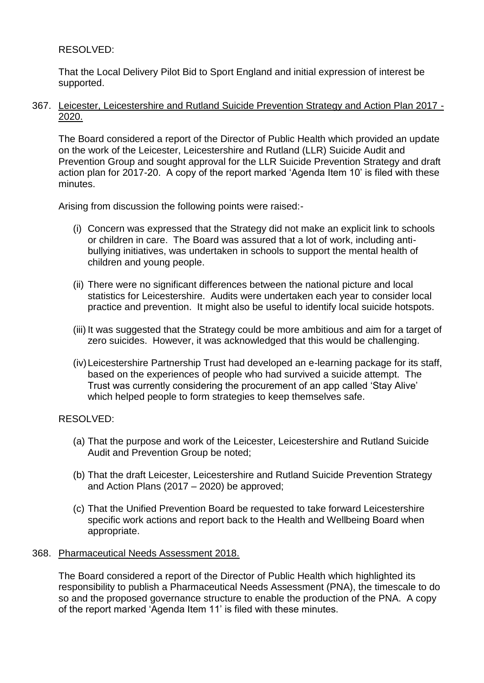# RESOLVED:

That the Local Delivery Pilot Bid to Sport England and initial expression of interest be supported.

367. Leicester, Leicestershire and Rutland Suicide Prevention Strategy and Action Plan 2017 - 2020.

The Board considered a report of the Director of Public Health which provided an update on the work of the Leicester, Leicestershire and Rutland (LLR) Suicide Audit and Prevention Group and sought approval for the LLR Suicide Prevention Strategy and draft action plan for 2017-20. A copy of the report marked 'Agenda Item 10' is filed with these minutes.

Arising from discussion the following points were raised:-

- (i) Concern was expressed that the Strategy did not make an explicit link to schools or children in care. The Board was assured that a lot of work, including antibullying initiatives, was undertaken in schools to support the mental health of children and young people.
- (ii) There were no significant differences between the national picture and local statistics for Leicestershire. Audits were undertaken each year to consider local practice and prevention. It might also be useful to identify local suicide hotspots.
- (iii) It was suggested that the Strategy could be more ambitious and aim for a target of zero suicides. However, it was acknowledged that this would be challenging.
- (iv)Leicestershire Partnership Trust had developed an e-learning package for its staff, based on the experiences of people who had survived a suicide attempt. The Trust was currently considering the procurement of an app called 'Stay Alive' which helped people to form strategies to keep themselves safe.

## RESOLVED:

- (a) That the purpose and work of the Leicester, Leicestershire and Rutland Suicide Audit and Prevention Group be noted;
- (b) That the draft Leicester, Leicestershire and Rutland Suicide Prevention Strategy and Action Plans (2017 – 2020) be approved;
- (c) That the Unified Prevention Board be requested to take forward Leicestershire specific work actions and report back to the Health and Wellbeing Board when appropriate.

## 368. Pharmaceutical Needs Assessment 2018.

The Board considered a report of the Director of Public Health which highlighted its responsibility to publish a Pharmaceutical Needs Assessment (PNA), the timescale to do so and the proposed governance structure to enable the production of the PNA. A copy of the report marked 'Agenda Item 11' is filed with these minutes.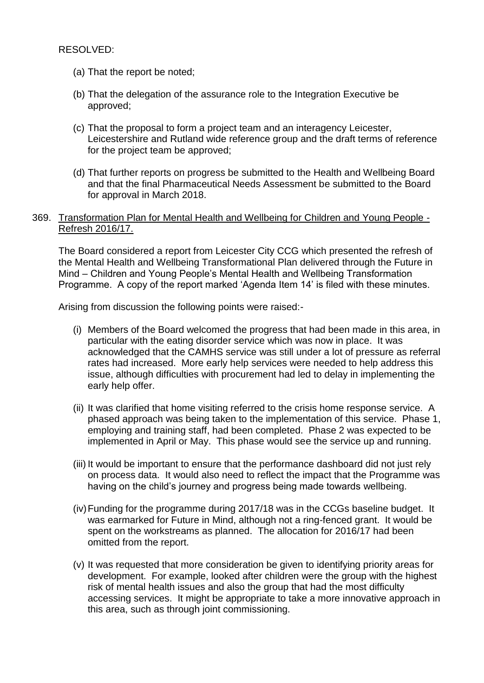RESOLVED:

- (a) That the report be noted;
- (b) That the delegation of the assurance role to the Integration Executive be approved;
- (c) That the proposal to form a project team and an interagency Leicester, Leicestershire and Rutland wide reference group and the draft terms of reference for the project team be approved;
- (d) That further reports on progress be submitted to the Health and Wellbeing Board and that the final Pharmaceutical Needs Assessment be submitted to the Board for approval in March 2018.

#### 369. Transformation Plan for Mental Health and Wellbeing for Children and Young People - Refresh 2016/17.

The Board considered a report from Leicester City CCG which presented the refresh of the Mental Health and Wellbeing Transformational Plan delivered through the Future in Mind – Children and Young People's Mental Health and Wellbeing Transformation Programme. A copy of the report marked 'Agenda Item 14' is filed with these minutes.

Arising from discussion the following points were raised:-

- (i) Members of the Board welcomed the progress that had been made in this area, in particular with the eating disorder service which was now in place. It was acknowledged that the CAMHS service was still under a lot of pressure as referral rates had increased. More early help services were needed to help address this issue, although difficulties with procurement had led to delay in implementing the early help offer.
- (ii) It was clarified that home visiting referred to the crisis home response service. A phased approach was being taken to the implementation of this service. Phase 1, employing and training staff, had been completed. Phase 2 was expected to be implemented in April or May. This phase would see the service up and running.
- (iii) It would be important to ensure that the performance dashboard did not just rely on process data. It would also need to reflect the impact that the Programme was having on the child's journey and progress being made towards wellbeing.
- (iv)Funding for the programme during 2017/18 was in the CCGs baseline budget. It was earmarked for Future in Mind, although not a ring-fenced grant. It would be spent on the workstreams as planned. The allocation for 2016/17 had been omitted from the report.
- (v) It was requested that more consideration be given to identifying priority areas for development. For example, looked after children were the group with the highest risk of mental health issues and also the group that had the most difficulty accessing services. It might be appropriate to take a more innovative approach in this area, such as through joint commissioning.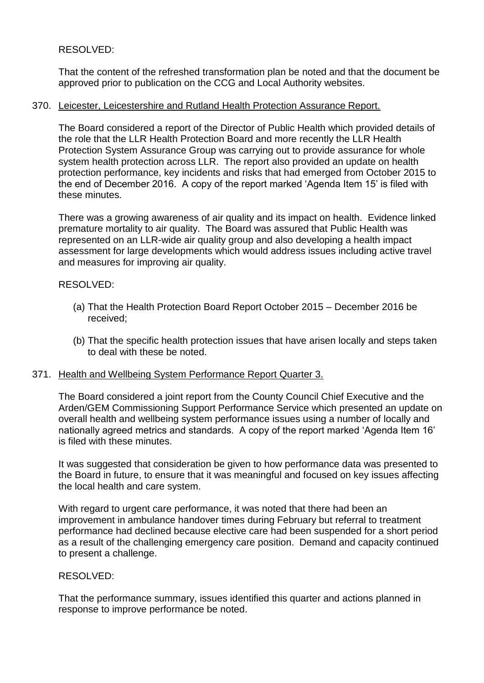# RESOLVED:

That the content of the refreshed transformation plan be noted and that the document be approved prior to publication on the CCG and Local Authority websites.

#### 370. Leicester, Leicestershire and Rutland Health Protection Assurance Report.

The Board considered a report of the Director of Public Health which provided details of the role that the LLR Health Protection Board and more recently the LLR Health Protection System Assurance Group was carrying out to provide assurance for whole system health protection across LLR. The report also provided an update on health protection performance, key incidents and risks that had emerged from October 2015 to the end of December 2016. A copy of the report marked 'Agenda Item 15' is filed with these minutes.

There was a growing awareness of air quality and its impact on health. Evidence linked premature mortality to air quality. The Board was assured that Public Health was represented on an LLR-wide air quality group and also developing a health impact assessment for large developments which would address issues including active travel and measures for improving air quality.

#### RESOLVED:

- (a) That the Health Protection Board Report October 2015 December 2016 be received;
- (b) That the specific health protection issues that have arisen locally and steps taken to deal with these be noted.

#### 371. Health and Wellbeing System Performance Report Quarter 3.

The Board considered a joint report from the County Council Chief Executive and the Arden/GEM Commissioning Support Performance Service which presented an update on overall health and wellbeing system performance issues using a number of locally and nationally agreed metrics and standards. A copy of the report marked 'Agenda Item 16' is filed with these minutes.

It was suggested that consideration be given to how performance data was presented to the Board in future, to ensure that it was meaningful and focused on key issues affecting the local health and care system.

With regard to urgent care performance, it was noted that there had been an improvement in ambulance handover times during February but referral to treatment performance had declined because elective care had been suspended for a short period as a result of the challenging emergency care position. Demand and capacity continued to present a challenge.

#### RESOLVED:

That the performance summary, issues identified this quarter and actions planned in response to improve performance be noted.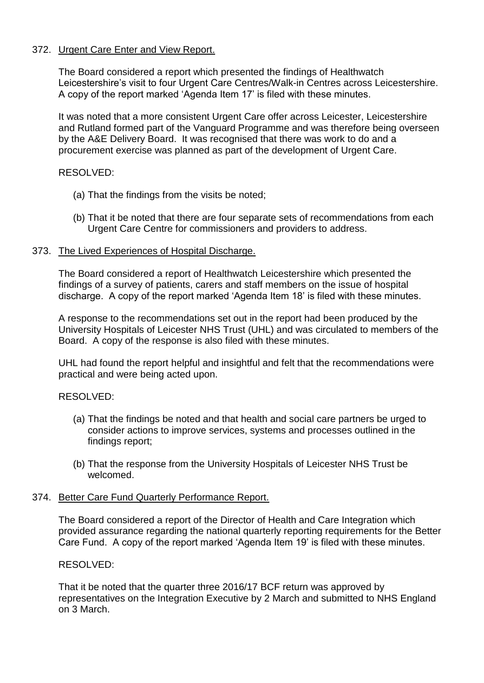# 372. Urgent Care Enter and View Report.

The Board considered a report which presented the findings of Healthwatch Leicestershire's visit to four Urgent Care Centres/Walk-in Centres across Leicestershire. A copy of the report marked 'Agenda Item 17' is filed with these minutes.

It was noted that a more consistent Urgent Care offer across Leicester, Leicestershire and Rutland formed part of the Vanguard Programme and was therefore being overseen by the A&E Delivery Board. It was recognised that there was work to do and a procurement exercise was planned as part of the development of Urgent Care.

## RESOLVED:

- (a) That the findings from the visits be noted;
- (b) That it be noted that there are four separate sets of recommendations from each Urgent Care Centre for commissioners and providers to address.

## 373. The Lived Experiences of Hospital Discharge.

The Board considered a report of Healthwatch Leicestershire which presented the findings of a survey of patients, carers and staff members on the issue of hospital discharge. A copy of the report marked 'Agenda Item 18' is filed with these minutes.

A response to the recommendations set out in the report had been produced by the University Hospitals of Leicester NHS Trust (UHL) and was circulated to members of the Board. A copy of the response is also filed with these minutes.

UHL had found the report helpful and insightful and felt that the recommendations were practical and were being acted upon.

## RESOLVED:

- (a) That the findings be noted and that health and social care partners be urged to consider actions to improve services, systems and processes outlined in the findings report;
- (b) That the response from the University Hospitals of Leicester NHS Trust be welcomed.

## 374. Better Care Fund Quarterly Performance Report.

The Board considered a report of the Director of Health and Care Integration which provided assurance regarding the national quarterly reporting requirements for the Better Care Fund. A copy of the report marked 'Agenda Item 19' is filed with these minutes.

## RESOLVED:

That it be noted that the quarter three 2016/17 BCF return was approved by representatives on the Integration Executive by 2 March and submitted to NHS England on 3 March.